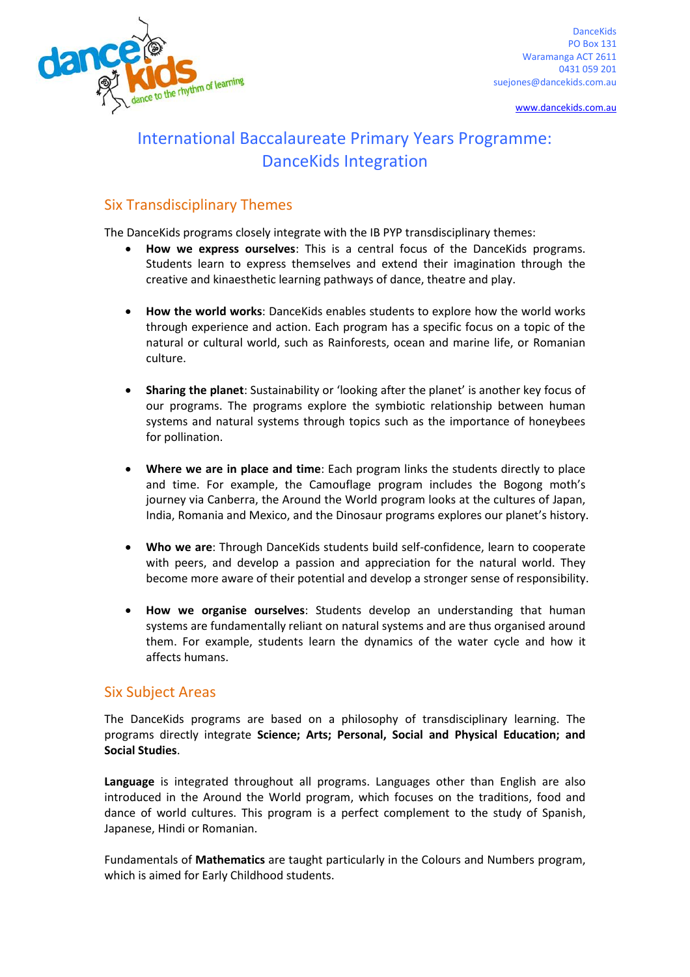

DanceKids PO Box 131 Waramanga ACT 2611 0431 059 201 suejones@dancekids.com.au

[www.dancekids.com.au](http://www.dancekids.com.au/)

# International Baccalaureate Primary Years Programme: DanceKids Integration

## Six Transdisciplinary Themes

The DanceKids programs closely integrate with the IB PYP transdisciplinary themes:

- **How we express ourselves**: This is a central focus of the DanceKids programs. Students learn to express themselves and extend their imagination through the creative and kinaesthetic learning pathways of dance, theatre and play.
- **How the world works: DanceKids enables students to explore how the world works** through experience and action. Each program has a specific focus on a topic of the natural or cultural world, such as Rainforests, ocean and marine life, or Romanian culture.
- **Sharing the planet**: Sustainability or 'looking after the planet' is another key focus of our programs. The programs explore the symbiotic relationship between human systems and natural systems through topics such as the importance of honeybees for pollination.
- **Where we are in place and time**: Each program links the students directly to place and time. For example, the Camouflage program includes the Bogong moth's journey via Canberra, the Around the World program looks at the cultures of Japan, India, Romania and Mexico, and the Dinosaur programs explores our planet's history.
- **Who we are**: Through DanceKids students build self-confidence, learn to cooperate with peers, and develop a passion and appreciation for the natural world. They become more aware of their potential and develop a stronger sense of responsibility.
- **How we organise ourselves**: Students develop an understanding that human systems are fundamentally reliant on natural systems and are thus organised around them. For example, students learn the dynamics of the water cycle and how it affects humans.

### Six Subject Areas

The DanceKids programs are based on a philosophy of transdisciplinary learning. The programs directly integrate **Science; Arts; Personal, Social and Physical Education; and Social Studies**.

**Language** is integrated throughout all programs. Languages other than English are also introduced in the Around the World program, which focuses on the traditions, food and dance of world cultures. This program is a perfect complement to the study of Spanish, Japanese, Hindi or Romanian.

Fundamentals of **Mathematics** are taught particularly in the Colours and Numbers program, which is aimed for Early Childhood students.